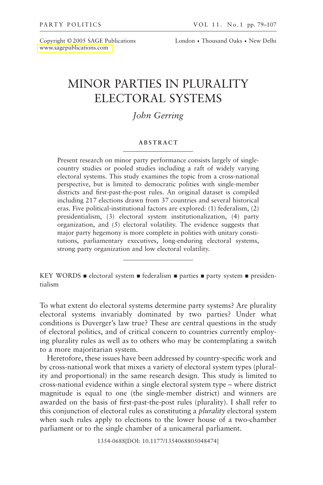<www.sagepublications.com>

Copyright © 2005 SAGE Publications London Thousand Oaks New Delhi

# MINOR PARTIES IN PLURALITY ELECTORAL SYSTEMS

# *John Gerring*

#### **ABSTRACT**

Present research on minor party performance consists largely of singlecountry studies or pooled studies including a raft of widely varying electoral systems. This study examines the topic from a cross-national perspective, but is limited to democratic polities with single-member districts and first-past-the-post rules. An original dataset is compiled including 217 elections drawn from 37 countries and several historical eras. Five political-institutional factors are explored: (1) federalism, (2) presidentialism, (3) electoral system institutionalization, (4) party organization, and (5) electoral volatility. The evidence suggests that major party hegemony is more complete in polities with unitary constitutions, parliamentary executives, long-enduring electoral systems, strong party organization and low electoral volatility.

KEY WORDS **electoral system a** federalism **a** parties **e** party system **e** presidentialism

To what extent do electoral systems determine party systems? Are plurality electoral systems invariably dominated by two parties? Under what conditions is Duverger's law true? These are central questions in the study of electoral politics, and of critical concern to countries currently employing plurality rules as well as to others who may be contemplating a switch to a more majoritarian system.

Heretofore, these issues have been addressed by country-specific work and by cross-national work that mixes a variety of electoral system types (plurality and proportional) in the same research design. This study is limited to cross-national evidence within a single electoral system type – where district magnitude is equal to one (the single-member district) and winners are awarded on the basis of first-past-the-post rules (plurality). I shall refer to this conjunction of electoral rules as constituting a *plurality* electoral system when such rules apply to elections to the lower house of a two-chamber parliament or to the single chamber of a unicameral parliament.

1354-0688[DOI: 10.1177/1354068805048474]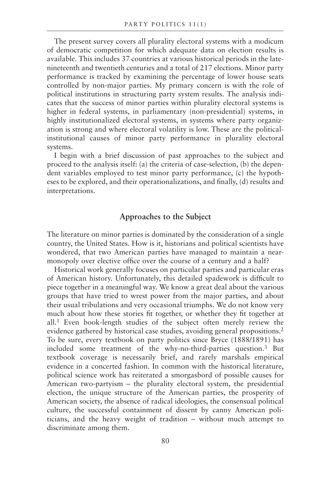The present survey covers all plurality electoral systems with a modicum of democratic competition for which adequate data on election results is available. This includes 37 countries at various historical periods in the latenineteenth and twentieth centuries and a total of 217 elections. Minor party performance is tracked by examining the percentage of lower house seats controlled by non-major parties. My primary concern is with the role of political institutions in structuring party system results. The analysis indicates that the success of minor parties within plurality electoral systems is higher in federal systems, in parliamentary (non-presidential) systems, in highly institutionalized electoral systems, in systems where party organization is strong and where electoral volatility is low. These are the politicalinstitutional causes of minor party performance in plurality electoral systems.

I begin with a brief discussion of past approaches to the subject and proceed to the analysis itself: (a) the criteria of case-selection, (b) the dependent variables employed to test minor party performance, (c) the hypotheses to be explored, and their operationalizations, and finally, (d) results and interpretations.

# **Approaches to the Subject**

The literature on minor parties is dominated by the consideration of a single country, the United States. How is it, historians and political scientists have wondered, that two American parties have managed to maintain a nearmonopoly over elective office over the course of a century and a half?

Historical work generally focuses on particular parties and particular eras of American history. Unfortunately, this detailed spadework is difficult to piece together in a meaningful way. We know a great deal about the various groups that have tried to wrest power from the major parties, and about their usual tribulations and very occasional triumphs. We do not know very much about how these stories fit together, or whether they fit together at all.1 Even book-length studies of the subject often merely review the evidence gathered by historical case studies, avoiding general propositions.2 To be sure, every textbook on party politics since Bryce (1888/1891) has included some treatment of the why-no-third-parties question.3 But textbook coverage is necessarily brief, and rarely marshals empirical evidence in a concerted fashion. In common with the historical literature, political science work has reiterated a smorgasbord of possible causes for American two-partyism – the plurality electoral system, the presidential election, the unique structure of the American parties, the prosperity of American society, the absence of radical ideologies, the consensual political culture, the successful containment of dissent by canny American politicians, and the heavy weight of tradition – without much attempt to discriminate among them.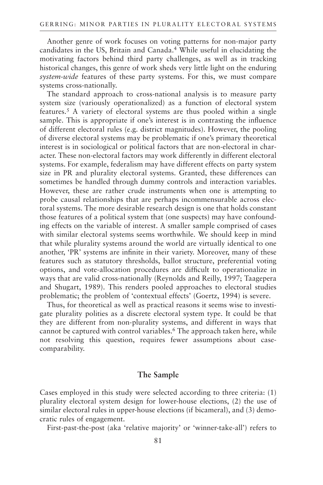Another genre of work focuses on voting patterns for non-major party candidates in the US, Britain and Canada.4 While useful in elucidating the motivating factors behind third party challenges, as well as in tracking historical changes, this genre of work sheds very little light on the enduring *system-wide* features of these party systems. For this, we must compare systems cross-nationally.

The standard approach to cross-national analysis is to measure party system size (variously operationalized) as a function of electoral system features.5 A variety of electoral systems are thus pooled within a single sample. This is appropriate if one's interest is in contrasting the influence of different electoral rules (e.g. district magnitudes). However, the pooling of diverse electoral systems may be problematic if one's primary theoretical interest is in sociological or political factors that are non-electoral in character. These non-electoral factors may work differently in different electoral systems. For example, federalism may have different effects on party system size in PR and plurality electoral systems. Granted, these differences can sometimes be handled through dummy controls and interaction variables. However, these are rather crude instruments when one is attempting to probe causal relationships that are perhaps incommensurable across electoral systems. The more desirable research design is one that holds constant those features of a political system that (one suspects) may have confounding effects on the variable of interest. A smaller sample comprised of cases with similar electoral systems seems worthwhile. We should keep in mind that while plurality systems around the world are virtually identical to one another, 'PR' systems are infinite in their variety. Moreover, many of these features such as statutory thresholds, ballot structure, preferential voting options, and vote-allocation procedures are difficult to operationalize in ways that are valid cross-nationally (Reynolds and Reilly, 1997; Taagepera and Shugart, 1989). This renders pooled approaches to electoral studies problematic; the problem of 'contextual effects' (Goertz, 1994) is severe.

Thus, for theoretical as well as practical reasons it seems wise to investigate plurality polities as a discrete electoral system type. It could be that they are different from non-plurality systems, and different in ways that cannot be captured with control variables.<sup>6</sup> The approach taken here, while not resolving this question, requires fewer assumptions about casecomparability.

#### **The Sample**

Cases employed in this study were selected according to three criteria: (1) plurality electoral system design for lower-house elections, (2) the use of similar electoral rules in upper-house elections (if bicameral), and (3) democratic rules of engagement.

First-past-the-post (aka 'relative majority' or 'winner-take-all') refers to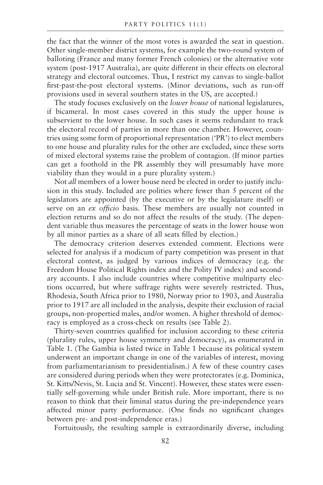the fact that the winner of the most votes is awarded the seat in question. Other single-member district systems, for example the two-round system of balloting (France and many former French colonies) or the alternative vote system (post-1917 Australia), are quite different in their effects on electoral strategy and electoral outcomes. Thus, I restrict my canvas to single-ballot first-past-the-post electoral systems. (Minor deviations, such as run-off provisions used in several southern states in the US, are accepted.)

The study focuses exclusively on the *lower house* of national legislatures, if bicameral. In most cases covered in this study the upper house is subservient to the lower house. In such cases it seems redundant to track the electoral record of parties in more than one chamber. However, countries using some form of proportional representation ('PR') to elect members to one house and plurality rules for the other are excluded, since these sorts of mixed electoral systems raise the problem of contagion. (If minor parties can get a foothold in the PR assembly they will presumably have more viability than they would in a pure plurality system.)

Not *all* members of a lower house need be elected in order to justify inclusion in this study. Included are polities where fewer than 5 percent of the legislators are appointed (by the executive or by the legislature itself) or serve on an *ex officio* basis. These members are usually not counted in election returns and so do not affect the results of the study. (The dependent variable thus measures the percentage of seats in the lower house won by all minor parties as a share of all seats filled by election.)

The democracy criterion deserves extended comment. Elections were selected for analysis if a modicum of party competition was present in that electoral contest, as judged by various indices of democracy (e.g. the Freedom House Political Rights index and the Polity IV index) and secondary accounts. I also include countries where competitive multiparty elections occurred, but where suffrage rights were severely restricted. Thus, Rhodesia, South Africa prior to 1980, Norway prior to 1903, and Australia prior to 1917 are all included in the analysis, despite their exclusion of racial groups, non-propertied males, and/or women. A higher threshold of democracy is employed as a cross-check on results (see Table 2).

Thirty-seven countries qualified for inclusion according to these criteria (plurality rules, upper house symmetry and democracy), as enumerated in Table 1. (The Gambia is listed twice in Table 1 because its political system underwent an important change in one of the variables of interest, moving from parliamentarianism to presidentialism.) A few of these country cases are considered during periods when they were protectorates (e.g. Dominica, St. Kitts/Nevis, St. Lucia and St. Vincent). However, these states were essentially self-governing while under British rule. More important, there is no reason to think that their liminal status during the pre-independence years affected minor party performance. (One finds no significant changes between pre- and post-independence eras.)

Fortuitously, the resulting sample is extraordinarily diverse, including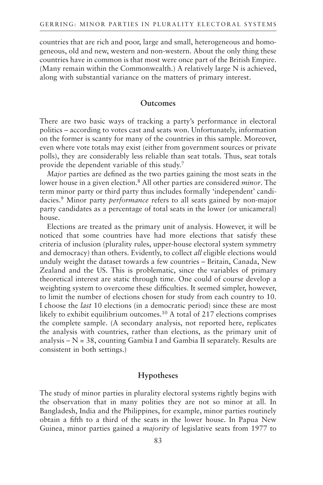countries that are rich and poor, large and small, heterogeneous and homogeneous, old and new, western and non-western. About the only thing these countries have in common is that most were once part of the British Empire. (Many remain within the Commonwealth.) A relatively large N is achieved, along with substantial variance on the matters of primary interest.

#### **Outcomes**

There are two basic ways of tracking a party's performance in electoral politics – according to votes cast and seats won. Unfortunately, information on the former is scanty for many of the countries in this sample. Moreover, even where vote totals may exist (either from government sources or private polls), they are considerably less reliable than seat totals. Thus, seat totals provide the dependent variable of this study.7

*Major* parties are defined as the two parties gaining the most seats in the lower house in a given election.8 All other parties are considered *minor*. The term minor party or third party thus includes formally 'independent' candidacies.9 Minor party *performance* refers to all seats gained by non-major party candidates as a percentage of total seats in the lower (or unicameral) house.

Elections are treated as the primary unit of analysis. However, it will be noticed that some countries have had more elections that satisfy these criteria of inclusion (plurality rules, upper-house electoral system symmetry and democracy) than others. Evidently, to collect *all* eligible elections would unduly weight the dataset towards a few countries – Britain, Canada, New Zealand and the US. This is problematic, since the variables of primary theoretical interest are static through time. One could of course develop a weighting system to overcome these difficulties. It seemed simpler, however, to limit the number of elections chosen for study from each country to 10. I choose the *last* 10 elections (in a democratic period) since these are most likely to exhibit equilibrium outcomes.<sup>10</sup> A total of 217 elections comprises the complete sample. (A secondary analysis, not reported here, replicates the analysis with countries, rather than elections, as the primary unit of analysis  $-N = 38$ , counting Gambia I and Gambia II separately. Results are consistent in both settings.)

#### **Hypotheses**

The study of minor parties in plurality electoral systems rightly begins with the observation that in many polities they are not so minor at all. In Bangladesh, India and the Philippines, for example, minor parties routinely obtain a fifth to a third of the seats in the lower house. In Papua New Guinea, minor parties gained a *majority* of legislative seats from 1977 to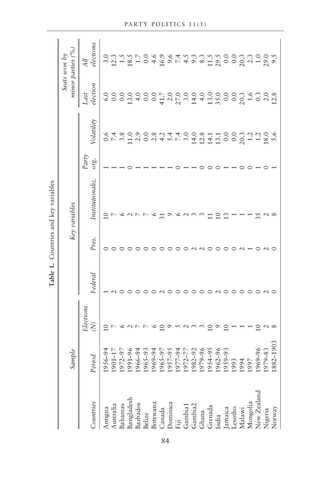|                                   | Sample                                                                                                                                                                                                                                                                                                       |                 |         |       | Key variables   |               |            |                  | $mmor$ parties (%)<br>Seats won $by$ |
|-----------------------------------|--------------------------------------------------------------------------------------------------------------------------------------------------------------------------------------------------------------------------------------------------------------------------------------------------------------|-----------------|---------|-------|-----------------|---------------|------------|------------------|--------------------------------------|
| Countries                         | pou<br>Pe                                                                                                                                                                                                                                                                                                    | Elections<br>Ŕ) | Federal | Pres. | Institutionaliz | Party<br>org. | Volatility | election<br>Last | elections<br>${\cal A} ll$           |
| Antigua                           | $1956 - 94$                                                                                                                                                                                                                                                                                                  |                 |         |       |                 |               |            |                  |                                      |
|                                   |                                                                                                                                                                                                                                                                                                              | $\frac{1}{2}$   |         |       | $\frac{7}{10}$  |               |            |                  |                                      |
| Australia<br>Bahamas              | 1901-17<br>1972-97                                                                                                                                                                                                                                                                                           |                 |         |       |                 |               |            |                  |                                      |
|                                   |                                                                                                                                                                                                                                                                                                              |                 |         |       |                 |               |            |                  |                                      |
| Bangladesh<br>Barbados            | 1991–96<br>1966–94<br>1965–93                                                                                                                                                                                                                                                                                | $\sim$ $\sim$   |         |       |                 |               |            |                  |                                      |
| Belize                            |                                                                                                                                                                                                                                                                                                              |                 |         |       |                 |               |            |                  |                                      |
| Botswana                          | 1969-94                                                                                                                                                                                                                                                                                                      |                 |         |       |                 |               |            |                  |                                      |
|                                   | 1965-97<br>1957-95                                                                                                                                                                                                                                                                                           | $\subseteq$     |         |       |                 |               |            |                  |                                      |
| Canada<br>Dominica                |                                                                                                                                                                                                                                                                                                              |                 |         |       |                 |               |            |                  |                                      |
| Fiji                              | $+6-21$<br>$\overline{0}$                                                                                                                                                                                                                                                                                    |                 |         |       |                 |               |            |                  |                                      |
|                                   |                                                                                                                                                                                                                                                                                                              |                 |         |       |                 |               |            |                  |                                      |
| Gambia1<br>Gambia2<br>Ghana       | $\begin{array}{l} 1972 - 77 \\ 1982 - 9 \\ 1979 - 96 \\ 1979 - 96 \\ 1954 - 95 \\ 1962 - 93 \\ 1994 \\ 1994 \\ 1994 \\ 1997 \\ 1997 \\ 1998 \\ 1997 \\ 1997 \\ 1998 \\ 1997 \\ 1989 - 83 \\ 1983 \\ 1984 \\ 1997 \\ 1998 \\ 1998 \\ 1998 \\ 1998 \\ 1998 \\ 1998 \\ 1998 \\ 1998 \\ 1998 \\ 1998 \\ 1998 \\$ | sa mang sa      |         |       |                 |               |            |                  |                                      |
|                                   |                                                                                                                                                                                                                                                                                                              |                 |         |       | $\omega$        |               |            |                  |                                      |
| Grenada                           |                                                                                                                                                                                                                                                                                                              |                 |         |       | $\overline{11}$ |               |            |                  |                                      |
| India                             |                                                                                                                                                                                                                                                                                                              |                 |         |       | $10$ $13$       |               |            |                  |                                      |
|                                   |                                                                                                                                                                                                                                                                                                              |                 |         |       |                 |               |            |                  |                                      |
| Jamaica<br>Lesotho                |                                                                                                                                                                                                                                                                                                              |                 |         |       |                 |               |            |                  |                                      |
| Malawi<br>Mongolia<br>New Zealand |                                                                                                                                                                                                                                                                                                              |                 |         |       |                 |               |            |                  |                                      |
|                                   |                                                                                                                                                                                                                                                                                                              |                 |         |       |                 |               |            |                  |                                      |
|                                   |                                                                                                                                                                                                                                                                                                              | $\supseteq$     |         |       |                 |               |            |                  |                                      |
| Nigeria                           |                                                                                                                                                                                                                                                                                                              |                 |         |       |                 |               |            |                  |                                      |
| Norway                            | $82 - 1903$<br>$\overline{8}$                                                                                                                                                                                                                                                                                |                 |         |       |                 |               |            |                  |                                      |

PARTY POLITICS 11(1)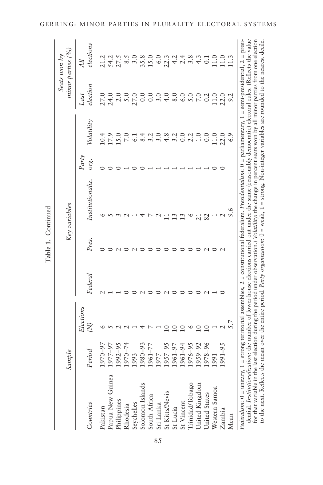|                                                                                                                                                                                                                                                                                                                                                                                                                                                                                                        | Sample     |                           |         |       | Key variables    |               |                |                           | $mino$ r parties (%)<br>Seats won by |
|--------------------------------------------------------------------------------------------------------------------------------------------------------------------------------------------------------------------------------------------------------------------------------------------------------------------------------------------------------------------------------------------------------------------------------------------------------------------------------------------------------|------------|---------------------------|---------|-------|------------------|---------------|----------------|---------------------------|--------------------------------------|
| Countries                                                                                                                                                                                                                                                                                                                                                                                                                                                                                              | $_{eriod}$ | Elections<br>$\gtrapprox$ | Federal | Pres. | Institutionaliz. | Party<br>org. | Volatility     | $\emph{electron}$<br>Last | elections<br>All                     |
|                                                                                                                                                                                                                                                                                                                                                                                                                                                                                                        |            |                           |         |       |                  |               |                |                           |                                      |
| Pakistan                                                                                                                                                                                                                                                                                                                                                                                                                                                                                               | 970-97     |                           |         |       |                  |               | 10.4           | 27.0                      | 21.2                                 |
|                                                                                                                                                                                                                                                                                                                                                                                                                                                                                                        | 977-97     |                           |         |       |                  |               | 17.9           | 24.0                      | 54.2<br>27.5                         |
| Papua New Guinea<br>Philippines<br>Rhodesia<br>Seychelles                                                                                                                                                                                                                                                                                                                                                                                                                                              | 992-95     |                           |         |       |                  |               | 15.0           | 2.0                       |                                      |
|                                                                                                                                                                                                                                                                                                                                                                                                                                                                                                        | 970-74     |                           |         |       |                  |               | $\frac{0}{2}$  | 5.0                       | $\frac{8.5}{5}$                      |
|                                                                                                                                                                                                                                                                                                                                                                                                                                                                                                        | 993        |                           |         |       |                  |               | $\overline{5}$ |                           | 3.0                                  |
| Solomon Islands                                                                                                                                                                                                                                                                                                                                                                                                                                                                                        | .980-93    |                           |         |       |                  |               |                | 27.0<br>0.0               | 35.8                                 |
|                                                                                                                                                                                                                                                                                                                                                                                                                                                                                                        | $961 - 77$ |                           |         |       |                  |               |                | $\overline{0}$ :          | 15.0                                 |
| South Africa<br>Sri Lanka<br>St Kitts/Nevis<br>St Lucia                                                                                                                                                                                                                                                                                                                                                                                                                                                | 977        |                           |         |       |                  |               |                | $3.00$<br>$4.00$          |                                      |
|                                                                                                                                                                                                                                                                                                                                                                                                                                                                                                        | $957 - 95$ |                           |         |       |                  |               |                |                           | $6.0$<br>22.3                        |
|                                                                                                                                                                                                                                                                                                                                                                                                                                                                                                        | $961 - 97$ |                           |         |       |                  |               |                |                           |                                      |
|                                                                                                                                                                                                                                                                                                                                                                                                                                                                                                        | $961 - 94$ |                           |         |       |                  |               |                | 6.0                       | $424$<br>$24$                        |
| St Vincent<br>Trinidad/Tobago<br>United Kingdom<br>United Stares                                                                                                                                                                                                                                                                                                                                                                                                                                       | $976 - 95$ | ٥                         |         |       | ٥                |               | 2.2            | 5.0                       | $3.\overline{3}$<br>$4.\overline{3}$ |
|                                                                                                                                                                                                                                                                                                                                                                                                                                                                                                        | 959-92     |                           |         |       | ដ                |               | $\frac{0}{1}$  | $\overline{7}$ .0         |                                      |
|                                                                                                                                                                                                                                                                                                                                                                                                                                                                                                        | $978 - 96$ | $\overline{10}$           |         |       | 82               |               | $\frac{0}{2}$  | 0.2                       | $\Xi$                                |
| Western Samoa                                                                                                                                                                                                                                                                                                                                                                                                                                                                                          | 991        |                           |         |       |                  |               | $\frac{0}{11}$ | 11.0                      | 11.0                                 |
| Zambia                                                                                                                                                                                                                                                                                                                                                                                                                                                                                                 | 991-95     |                           |         |       | $\mathcal{L}$    |               | 22.0           | 22.0                      | 11.3                                 |
| Mean                                                                                                                                                                                                                                                                                                                                                                                                                                                                                                   |            |                           |         |       | 9.6              |               | 6.9            | 9.2                       |                                      |
| <i>Federalism</i> : 0 = unitary, 1 = strong territorial assemblies, 2 = constitutional rederatism. <i>trestaentialism</i> : 0 = parinamentary, 1 = sem-presumman, 2 = press.<br>dential. <i>Institutionalization</i> : the number of lower-house el<br>for that variable in the last election during the period under observation.) Vo <i>latility</i> : the change in percent seats won by all minor parties from one election<br>to the next. Reflects the mean over the entire period. P <i>art</i> |            |                           |         |       |                  |               |                |                           |                                      |

GERRING: MINOR PARTIES IN PLURALITY ELECTORAL SYSTEMS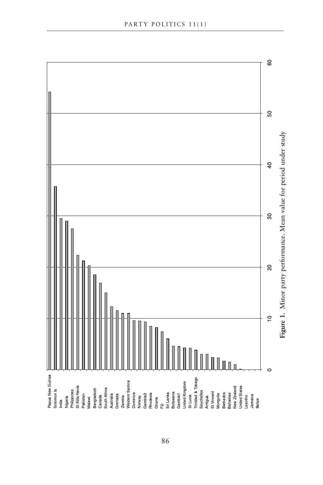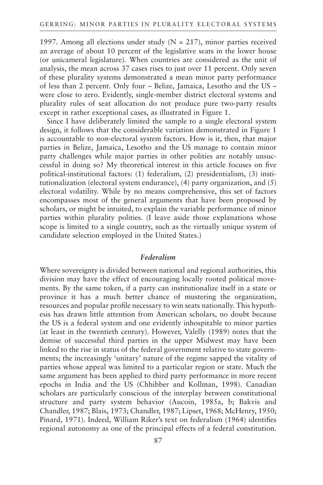1997. Among all elections under study  $(N = 217)$ , minor parties received an average of about 10 percent of the legislative seats in the lower house (or unicameral legislature). When countries are considered as the unit of analysis, the mean across 37 cases rises to just over 11 percent. Only seven of these plurality systems demonstrated a mean minor party performance of less than 2 percent. Only four – Belize, Jamaica, Lesotho and the US – were close to zero. Evidently, single-member district electoral systems and plurality rules of seat allocation do not produce pure two-party results except in rather exceptional cases, as illustrated in Figure 1.

Since I have deliberately limited the sample to a single electoral system design, it follows that the considerable variation demonstrated in Figure 1 is accountable to *non*-electoral system factors. How is it, then, that major parties in Belize, Jamaica, Lesotho and the US manage to contain minor party challenges while major parties in other polities are notably unsuccessful in doing so? My theoretical interest in this article focuses on five political-institutional factors: (1) federalism, (2) presidentialism, (3) institutionalization (electoral system endurance), (4) party organization, and (5) electoral volatility. While by no means comprehensive, this set of factors encompasses most of the general arguments that have been proposed by scholars, or might be intuited, to explain the variable performance of minor parties within plurality polities. (I leave aside those explanations whose scope is limited to a single country, such as the virtually unique system of candidate selection employed in the United States.)

#### *Federalism*

Where sovereignty is divided between national and regional authorities, this division may have the effect of encouraging locally rooted political movements. By the same token, if a party can institutionalize itself in a state or province it has a much better chance of mustering the organization, resources and popular profile necessary to win seats nationally. This hypothesis has drawn little attention from American scholars, no doubt because the US is a federal system and one evidently inhospitable to minor parties (at least in the twentieth century). However, Valelly (1989) notes that the demise of successful third parties in the upper Midwest may have been linked to the rise in status of the federal government relative to state governments; the increasingly 'unitary' nature of the regime sapped the vitality of parties whose appeal was limited to a particular region or state. Much the same argument has been applied to third party performance in more recent epochs in India and the US (Chhibber and Kollman, 1998). Canadian scholars are particularly conscious of the interplay between constitutional structure and party system behavior (Aucoin, 1985a, b; Bakvis and Chandler, 1987; Blais, 1973; Chandler, 1987; Lipset, 1968; McHenry, 1950; Pinard, 1971). Indeed, William Riker's text on federalism (1964) identifies regional autonomy as one of the principal effects of a federal constitution.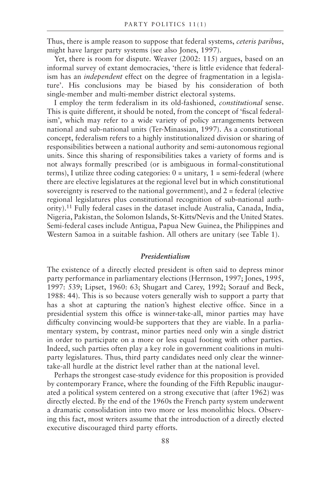Thus, there is ample reason to suppose that federal systems, *ceteris paribus*, might have larger party systems (see also Jones, 1997).

Yet, there is room for dispute. Weaver (2002: 115) argues, based on an informal survey of extant democracies, 'there is little evidence that federalism has an *independent* effect on the degree of fragmentation in a legislature'. His conclusions may be biased by his consideration of both single-member and multi-member district electoral systems.

I employ the term federalism in its old-fashioned, *constitutional* sense. This is quite different, it should be noted, from the concept of 'fiscal federalism', which may refer to a wide variety of policy arrangements between national and sub-national units (Ter-Minassian, 1997). As a constitutional concept, federalism refers to a highly institutionalized division or sharing of responsibilities between a national authority and semi-autonomous regional units. Since this sharing of responsibilities takes a variety of forms and is not always formally prescribed (or is ambiguous in formal-constitutional terms), I utilize three coding categories:  $0 =$  unitary,  $1 =$  semi-federal (where there are elective legislatures at the regional level but in which constitutional sovereignty is reserved to the national government), and  $2$  = federal (elective regional legislatures plus constitutional recognition of sub-national authority).11 Fully federal cases in the dataset include Australia, Canada, India, Nigeria, Pakistan, the Solomon Islands, St-Kitts/Nevis and the United States. Semi-federal cases include Antigua, Papua New Guinea, the Philippines and Western Samoa in a suitable fashion. All others are unitary (see Table 1).

#### *Presidentialism*

The existence of a directly elected president is often said to depress minor party performance in parliamentary elections (Herrnson, 1997; Jones, 1995, 1997: 539; Lipset, 1960: 63; Shugart and Carey, 1992; Sorauf and Beck, 1988: 44). This is so because voters generally wish to support a party that has a shot at capturing the nation's highest elective office. Since in a presidential system this office is winner-take-all, minor parties may have difficulty convincing would-be supporters that they are viable. In a parliamentary system, by contrast, minor parties need only win a single district in order to participate on a more or less equal footing with other parties. Indeed, such parties often play a key role in government coalitions in multiparty legislatures. Thus, third party candidates need only clear the winnertake-all hurdle at the district level rather than at the national level.

Perhaps the strongest case-study evidence for this proposition is provided by contemporary France, where the founding of the Fifth Republic inaugurated a political system centered on a strong executive that (after 1962) was directly elected. By the end of the 1960s the French party system underwent a dramatic consolidation into two more or less monolithic blocs. Observing this fact, most writers assume that the introduction of a directly elected executive discouraged third party efforts.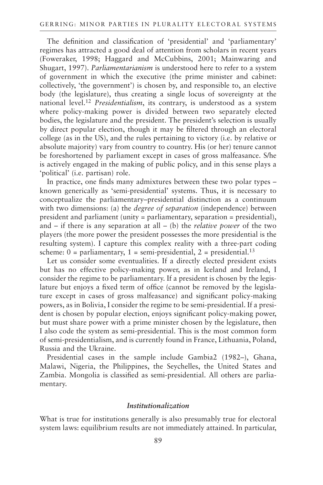The definition and classification of 'presidential' and 'parliamentary' regimes has attracted a good deal of attention from scholars in recent years (Foweraker, 1998; Haggard and McCubbins, 2001; Mainwaring and Shugart, 1997). *Parliamentarianism* is understood here to refer to a system of government in which the executive (the prime minister and cabinet: collectively, 'the government') is chosen by, and responsible to, an elective body (the legislature), thus creating a single locus of sovereignty at the national level.12 *Presidentialism*, its contrary, is understood as a system where policy-making power is divided between two separately elected bodies, the legislature and the president. The president's selection is usually by direct popular election, though it may be filtered through an electoral college (as in the US), and the rules pertaining to victory (i.e. by relative or absolute majority) vary from country to country. His (or her) tenure cannot be foreshortened by parliament except in cases of gross malfeasance. S/he is actively engaged in the making of public policy, and in this sense plays a 'political' (i.e. partisan) role.

In practice, one finds many admixtures between these two polar types – known generically as 'semi-presidential' systems. Thus, it is necessary to conceptualize the parliamentary–presidential distinction as a continuum with two dimensions: (a) the *degree of separation* (independence) between president and parliament (unity = parliamentary, separation = presidential), and – if there is any separation at all – (b) the *relative power* of the two players (the more power the president possesses the more presidential is the resulting system). I capture this complex reality with a three-part coding scheme:  $0 =$  parliamentary,  $1 =$  semi-presidential,  $2 =$  presidential.<sup>13</sup>

Let us consider some eventualities. If a directly elected president exists but has no effective policy-making power, as in Iceland and Ireland, I consider the regime to be parliamentary. If a president is chosen by the legislature but enjoys a fixed term of office (cannot be removed by the legislature except in cases of gross malfeasance) and significant policy-making powers, as in Bolivia, I consider the regime to be semi-presidential. If a president is chosen by popular election, enjoys significant policy-making power, but must share power with a prime minister chosen by the legislature, then I also code the system as semi-presidential. This is the most common form of semi-presidentialism, and is currently found in France, Lithuania, Poland, Russia and the Ukraine.

Presidential cases in the sample include Gambia2 (1982–), Ghana, Malawi, Nigeria, the Philippines, the Seychelles, the United States and Zambia. Mongolia is classified as semi-presidential. All others are parliamentary.

#### *Institutionalization*

What is true for institutions generally is also presumably true for electoral system laws: equilibrium results are not immediately attained. In particular,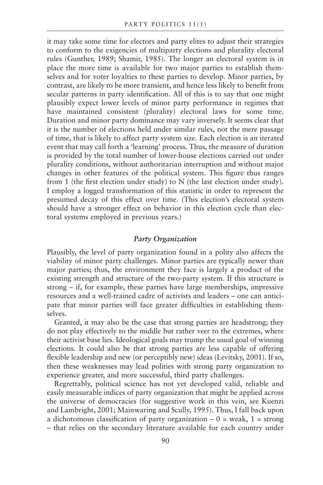it may take some time for electors and party elites to adjust their strategies to conform to the exigencies of multiparty elections and plurality electoral rules (Gunther, 1989; Shamir, 1985). The longer an electoral system is in place the more time is available for two major parties to establish themselves and for voter loyalties to these parties to develop. Minor parties, by contrast, are likely to be more transient, and hence less likely to benefit from secular patterns in party identification. All of this is to say that one might plausibly expect lower levels of minor party performance in regimes that have maintained consistent (plurality) electoral laws for some time. Duration and minor party dominance may vary inversely. It seems clear that it is the number of elections held under similar rules, not the mere passage of time, that is likely to affect party system size. Each election is an iterated event that may call forth a 'learning' process. Thus, the measure of duration is provided by the total number of lower-house elections carried out under plurality conditions, without authoritarian interruption and without major changes in other features of the political system. This figure thus ranges from 1 (the first election under study) to N (the last election under study). I employ a logged transformation of this statistic in order to represent the presumed decay of this effect over time. (This election's electoral system should have a stronger effect on behavior in this election cycle than electoral systems employed in previous years.)

#### *Party Organization*

Plausibly, the level of party organization found in a polity also affects the viability of minor party challenges. Minor parties are typically newer than major parties; thus, the environment they face is largely a product of the existing strength and structure of the two-party system. If this structure is strong – if, for example, these parties have large memberships, impressive resources and a well-trained cadre of activists and leaders – one can anticipate that minor parties will face greater difficulties in establishing themselves.

Granted, it may also be the case that strong parties are headstrong; they do not play effectively to the middle but rather veer to the extremes, where their activist base lies. Ideological goals may trump the usual goal of winning elections. It could also be that strong parties are less capable of offering flexible leadership and new (or perceptibly new) ideas (Levitsky, 2001). If so, then these weaknesses may lead polities with strong party organization to experience greater, and more successful, third party challenges.

Regrettably, political science has not yet developed valid, reliable and easily measurable indices of party organization that might be applied across the universe of democracies (for suggestive work in this vein, see Kuenzi and Lambright, 2001; Mainwaring and Scully, 1995). Thus, I fall back upon a dichotomous classification of party organization  $-0$  = weak, 1 = strong – that relies on the secondary literature available for each country under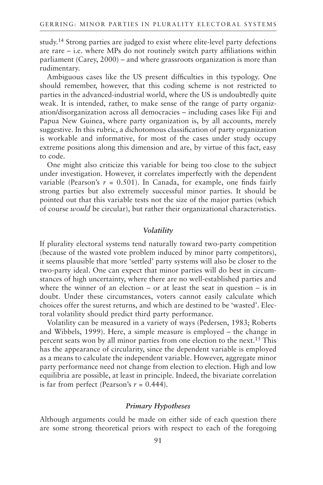study.14 Strong parties are judged to exist where elite-level party defections are rare – i.e. where MPs do not routinely switch party affiliations within parliament (Carey, 2000) – and where grassroots organization is more than rudimentary.

Ambiguous cases like the US present difficulties in this typology. One should remember, however, that this coding scheme is not restricted to parties in the advanced-industrial world, where the US is undoubtedly quite weak. It is intended, rather, to make sense of the range of party organization/disorganization across all democracies – including cases like Fiji and Papua New Guinea, where party organization is, by all accounts, merely suggestive. In this rubric, a dichotomous classification of party organization is workable and informative, for most of the cases under study occupy extreme positions along this dimension and are, by virtue of this fact, easy to code.

One might also criticize this variable for being too close to the subject under investigation. However, it correlates imperfectly with the dependent variable (Pearson's  $r = 0.501$ ). In Canada, for example, one finds fairly strong parties but also extremely successful minor parties. It should be pointed out that this variable tests not the size of the major parties (which of course *would* be circular), but rather their organizational characteristics.

#### *Volatility*

If plurality electoral systems tend naturally toward two-party competition (because of the wasted vote problem induced by minor party competitors), it seems plausible that more 'settled' party systems will also be closer to the two-party ideal. One can expect that minor parties will do best in circumstances of high uncertainty, where there are no well-established parties and where the winner of an election – or at least the seat in question – is in doubt. Under these circumstances, voters cannot easily calculate which choices offer the surest returns, and which are destined to be 'wasted'. Electoral volatility should predict third party performance.

Volatility can be measured in a variety of ways (Pedersen, 1983; Roberts and Wibbels, 1999). Here, a simple measure is employed – the change in percent seats won by all minor parties from one election to the next.15 This has the appearance of circularity, since the dependent variable is employed as a means to calculate the independent variable. However, aggregate minor party performance need not change from election to election. High and low equilibria are possible, at least in principle. Indeed, the bivariate correlation is far from perfect (Pearson's  $r = 0.444$ ).

#### *Primary Hypotheses*

Although arguments could be made on either side of each question there are some strong theoretical priors with respect to each of the foregoing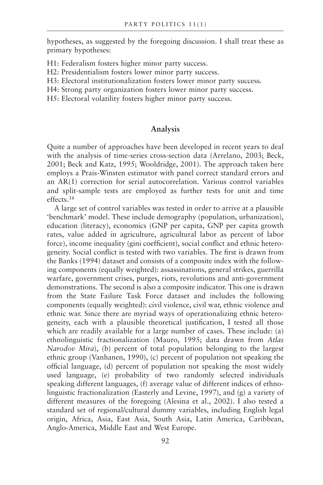hypotheses, as suggested by the foregoing discussion. I shall treat these as primary hypotheses:

- H1: Federalism fosters higher minor party success.
- H2: Presidentialism fosters lower minor party success.
- H3: Electoral institutionalization fosters lower minor party success.
- H4: Strong party organization fosters lower minor party success.
- H5: Electoral volatility fosters higher minor party success.

#### **Analysis**

Quite a number of approaches have been developed in recent years to deal with the analysis of time-series cross-section data (Arrelano, 2003; Beck, 2001; Beck and Katz, 1995; Wooldridge, 2001). The approach taken here employs a Prais-Winsten estimator with panel correct standard errors and an AR(1) correction for serial autocorrelation. Various control variables and split-sample tests are employed as further tests for unit and time effects.16

A large set of control variables was tested in order to arrive at a plausible 'benchmark' model. These include demography (population, urbanization), education (literacy), economics (GNP per capita, GNP per capita growth rates, value added in agriculture, agricultural labor as percent of labor force), income inequality (gini coefficient), social conflict and ethnic heterogeneity. Social conflict is tested with two variables. The first is drawn from the Banks (1994) dataset and consists of a composite index with the following components (equally weighted): assassinations, general strikes, guerrilla warfare, government crises, purges, riots, revolutions and anti-government demonstrations. The second is also a composite indicator. This one is drawn from the State Failure Task Force dataset and includes the following components (equally weighted): civil violence, civil war, ethnic violence and ethnic war. Since there are myriad ways of operationalizing ethnic heterogeneity, each with a plausible theoretical justification, I tested all those which are readily available for a large number of cases. These include: (a) ethnolinguistic fractionalization (Mauro, 1995; data drawn from *Atlas Narodov Mira*), (b) percent of total population belonging to the largest ethnic group (Vanhanen, 1990), (c) percent of population not speaking the official language, (d) percent of population not speaking the most widely used language, (e) probability of two randomly selected individuals speaking different languages, (f) average value of different indices of ethnolinguistic fractionalization (Easterly and Levine, 1997), and (g) a variety of different measures of the foregoing (Alesina et al., 2002). I also tested a standard set of regional/cultural dummy variables, including English legal origin, Africa, Asia, East Asia, South Asia, Latin America, Caribbean, Anglo-America, Middle East and West Europe.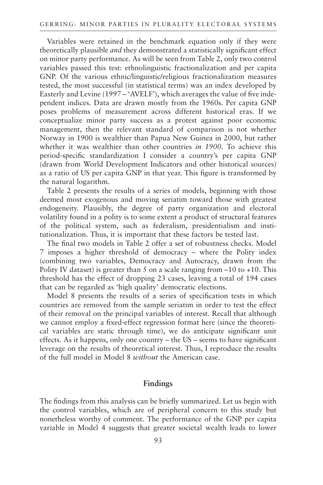Variables were retained in the benchmark equation only if they were theoretically plausible *and* they demonstrated a statistically significant effect on minor party performance. As will be seen from Table 2, only two control variables passed this test: ethnolinguistic fractionalization and per capita GNP. Of the various ethnic/linguistic/religious fractionalization measures tested, the most successful (in statistical terms) was an index developed by Easterly and Levine (1997 – 'AVELF'), which averages the value of five independent indices. Data are drawn mostly from the 1960s. Per capita GNP poses problems of measurement across different historical eras. If we conceptualize minor party success as a protest against poor economic management, then the relevant standard of comparison is not whether Norway in 1900 is wealthier than Papua New Guinea in 2000, but rather whether it was wealthier than other countries *in 1900*. To achieve this period-specific standardization I consider a country's per capita GNP (drawn from World Development Indicators and other historical sources) as a ratio of US per capita GNP in that year. This figure is transformed by the natural logarithm.

Table 2 presents the results of a series of models, beginning with those deemed most exogenous and moving seriatim toward those with greatest endogeneity. Plausibly, the degree of party organization and electoral volatility found in a polity is to some extent a product of structural features of the political system, such as federalism, presidentialism and institutionalization. Thus, it is important that these factors be tested last.

The final two models in Table 2 offer a set of robustness checks. Model 7 imposes a higher threshold of democracy – where the Polity index (combining two variables, Democracy and Autocracy, drawn from the Polity IV dataset) is greater than 5 on a scale ranging from  $-10$  to  $+10$ . This threshold has the effect of dropping 23 cases, leaving a total of 194 cases that can be regarded as 'high quality' democratic elections.

Model 8 presents the results of a series of specification tests in which countries are removed from the sample seriatim in order to test the effect of their removal on the principal variables of interest. Recall that although we cannot employ a fixed-effect regression format here (since the theoretical variables are static through time), we do anticipate significant unit effects. As it happens, only one country – the US – seems to have significant leverage on the results of theoretical interest. Thus, I reproduce the results of the full model in Model 8 *without* the American case.

# **Findings**

The findings from this analysis can be briefly summarized. Let us begin with the control variables, which are of peripheral concern to this study but nonetheless worthy of comment. The performance of the GNP per capita variable in Model 4 suggests that greater societal wealth leads to lower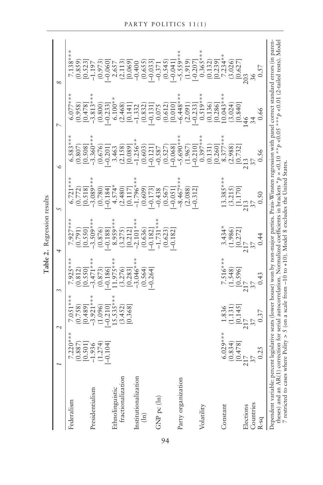|                                                                                                                                                                                                                                                                                                                                                                                                                                              |                       | $\mathcal{L}$                                                     | 3                                                                                                                    | Table 2. Regression results<br>4                                   | $\overline{5}$                                                                                     | ৩                                                                                                                                                                                                                                                                                                                                                                                                        |                                         | $^{\circ}$                                                                                                                                                                                                                                                                                                                                                                                      |
|----------------------------------------------------------------------------------------------------------------------------------------------------------------------------------------------------------------------------------------------------------------------------------------------------------------------------------------------------------------------------------------------------------------------------------------------|-----------------------|-------------------------------------------------------------------|----------------------------------------------------------------------------------------------------------------------|--------------------------------------------------------------------|----------------------------------------------------------------------------------------------------|----------------------------------------------------------------------------------------------------------------------------------------------------------------------------------------------------------------------------------------------------------------------------------------------------------------------------------------------------------------------------------------------------------|-----------------------------------------|-------------------------------------------------------------------------------------------------------------------------------------------------------------------------------------------------------------------------------------------------------------------------------------------------------------------------------------------------------------------------------------------------|
|                                                                                                                                                                                                                                                                                                                                                                                                                                              |                       |                                                                   |                                                                                                                      |                                                                    |                                                                                                    |                                                                                                                                                                                                                                                                                                                                                                                                          |                                         |                                                                                                                                                                                                                                                                                                                                                                                                 |
| Federalism                                                                                                                                                                                                                                                                                                                                                                                                                                   | $7.220**$             | 7.051**<br>(0.758)<br>[0.489]<br>-3.921**                         | $7.925*$                                                                                                             | $7.927$ **<br>(0.791)<br>(0.550]<br>[0.550]                        | $6.721**$                                                                                          | ×<br>Ý.<br>$6.583**$                                                                                                                                                                                                                                                                                                                                                                                     | ÷.<br>$6.077$ *                         | $\mathbf{\hat{x}}$<br>$7.138**$<br>$(0.859)$<br>$[0.523]$<br>$-1.197$                                                                                                                                                                                                                                                                                                                           |
|                                                                                                                                                                                                                                                                                                                                                                                                                                              | (0.887)               |                                                                   |                                                                                                                      |                                                                    | $(0.772)$<br>[0.518]                                                                               |                                                                                                                                                                                                                                                                                                                                                                                                          | $(0.958)$<br>$[0.478]$<br>$-3.813$ *    |                                                                                                                                                                                                                                                                                                                                                                                                 |
|                                                                                                                                                                                                                                                                                                                                                                                                                                              | [0.501]               |                                                                   |                                                                                                                      |                                                                    |                                                                                                    |                                                                                                                                                                                                                                                                                                                                                                                                          |                                         |                                                                                                                                                                                                                                                                                                                                                                                                 |
| Presidentialism                                                                                                                                                                                                                                                                                                                                                                                                                              | $-1.936$              |                                                                   |                                                                                                                      |                                                                    | $-3.089**$                                                                                         |                                                                                                                                                                                                                                                                                                                                                                                                          |                                         |                                                                                                                                                                                                                                                                                                                                                                                                 |
|                                                                                                                                                                                                                                                                                                                                                                                                                                              | (1.274)               | $\begin{array}{c} (1.096) \\ [-0.210] \end{array}$                | $\begin{array}{c} (0.812)\\[1mm] 0.550]\\[-1mm] -3.471**\\[-1mm] 0.873)\\[-1mm] -0.186]\\[-1mm] 1.975** \end{array}$ | $(0.876)$<br>$[-0.188]$<br>$8.959$ ***                             |                                                                                                    |                                                                                                                                                                                                                                                                                                                                                                                                          | $(0.800)$<br>$[-0.233]$                 | $(0.973)$<br>$[-0.060]$                                                                                                                                                                                                                                                                                                                                                                         |
|                                                                                                                                                                                                                                                                                                                                                                                                                                              | $-0.104$              |                                                                   |                                                                                                                      |                                                                    |                                                                                                    |                                                                                                                                                                                                                                                                                                                                                                                                          |                                         |                                                                                                                                                                                                                                                                                                                                                                                                 |
| Ethnolinguistic                                                                                                                                                                                                                                                                                                                                                                                                                              |                       | ×<br>15.535*                                                      |                                                                                                                      |                                                                    |                                                                                                    |                                                                                                                                                                                                                                                                                                                                                                                                          |                                         |                                                                                                                                                                                                                                                                                                                                                                                                 |
| fractionalization                                                                                                                                                                                                                                                                                                                                                                                                                            |                       | (3.452)                                                           | (3.276)                                                                                                              | (3.275)                                                            |                                                                                                    |                                                                                                                                                                                                                                                                                                                                                                                                          |                                         |                                                                                                                                                                                                                                                                                                                                                                                                 |
|                                                                                                                                                                                                                                                                                                                                                                                                                                              |                       | [0.368]                                                           | $\begin{bmatrix} 0.283 \end{bmatrix}$<br>-3.046**                                                                    | $\begin{bmatrix} 0.212 \\ -2.101** \end{bmatrix}$                  | $\begin{array}{c} (0.780) \\ [-0.184] \\ 4.574^* \\ (2.480) \\ [0.117] \\ -1.796^{**} \end{array}$ |                                                                                                                                                                                                                                                                                                                                                                                                          |                                         |                                                                                                                                                                                                                                                                                                                                                                                                 |
| Institutionalization                                                                                                                                                                                                                                                                                                                                                                                                                         |                       |                                                                   | ÷                                                                                                                    |                                                                    |                                                                                                    |                                                                                                                                                                                                                                                                                                                                                                                                          |                                         |                                                                                                                                                                                                                                                                                                                                                                                                 |
| $(\ln)$                                                                                                                                                                                                                                                                                                                                                                                                                                      |                       |                                                                   | $(0.564)$<br>$[-0.264]$                                                                                              | (0.636)                                                            | [6, 173]                                                                                           |                                                                                                                                                                                                                                                                                                                                                                                                          |                                         |                                                                                                                                                                                                                                                                                                                                                                                                 |
|                                                                                                                                                                                                                                                                                                                                                                                                                                              |                       |                                                                   |                                                                                                                      |                                                                    |                                                                                                    |                                                                                                                                                                                                                                                                                                                                                                                                          |                                         |                                                                                                                                                                                                                                                                                                                                                                                                 |
| GNP pc (ln)                                                                                                                                                                                                                                                                                                                                                                                                                                  |                       |                                                                   |                                                                                                                      | $\begin{bmatrix} -0.182 \end{bmatrix}^*$                           | $-0.438$                                                                                           |                                                                                                                                                                                                                                                                                                                                                                                                          |                                         |                                                                                                                                                                                                                                                                                                                                                                                                 |
|                                                                                                                                                                                                                                                                                                                                                                                                                                              |                       |                                                                   |                                                                                                                      | $(0.623)$<br>$[-0.182]$                                            | (0.567)                                                                                            |                                                                                                                                                                                                                                                                                                                                                                                                          |                                         |                                                                                                                                                                                                                                                                                                                                                                                                 |
|                                                                                                                                                                                                                                                                                                                                                                                                                                              |                       |                                                                   |                                                                                                                      |                                                                    | $[-0.051]$                                                                                         |                                                                                                                                                                                                                                                                                                                                                                                                          |                                         |                                                                                                                                                                                                                                                                                                                                                                                                 |
| Party organization                                                                                                                                                                                                                                                                                                                                                                                                                           |                       |                                                                   |                                                                                                                      |                                                                    | *<br>$-8.467*$                                                                                     | $\begin{array}{l} \text{(307)}\\[-4pt] \text{(308)}\\[-4pt] \text{(308)}\\[-4pt] \text{(309)}\\[-4pt] \text{(309)}\\[-4pt] \text{(309)}\\[-4pt] \text{(309)}\\[-4pt] \text{(309)}\\[-4pt] \text{(309)}\\[-4pt] \text{(309)}\\[-4pt] \text{(309)}\\[-4pt] \text{(309)}\\[-4pt] \text{(309)}\\[-4pt] \text{(309)}\\[-4pt] \text{(309)}\\[-4pt] \text{(309)}\\[-4pt] \text{(309)}\\[-4pt] \text{(309)}\\[-$ | $-6.448$ <sup>*</sup><br>(2.091)        | $\begin{array}{l} \texttt{1.65} \\ \texttt{2.63} \\ \texttt{3.13} \\ \texttt{4.13} \\ \texttt{5.13} \\ \texttt{69} \\ \texttt{7.13} \\ \texttt{8.13} \\ \texttt{9.13} \\ \texttt{1.13} \\ \texttt{1.23} \\ \texttt{1.34} \\ \texttt{1.45} \\ \texttt{1.53} \\ \texttt{1.53} \\ \texttt{1.53} \\ \texttt{1.53} \\ \texttt{1.53} \\ \texttt{1.53} \\ \texttt{1.53} \\ \texttt{1.53} \\ \texttt{1$ |
|                                                                                                                                                                                                                                                                                                                                                                                                                                              |                       |                                                                   |                                                                                                                      |                                                                    |                                                                                                    |                                                                                                                                                                                                                                                                                                                                                                                                          |                                         |                                                                                                                                                                                                                                                                                                                                                                                                 |
|                                                                                                                                                                                                                                                                                                                                                                                                                                              |                       |                                                                   |                                                                                                                      |                                                                    | $(2.088)$<br>$[-0.312]$                                                                            |                                                                                                                                                                                                                                                                                                                                                                                                          | $-0.233$                                |                                                                                                                                                                                                                                                                                                                                                                                                 |
| Volatility                                                                                                                                                                                                                                                                                                                                                                                                                                   |                       |                                                                   |                                                                                                                      |                                                                    |                                                                                                    | $0.397*$                                                                                                                                                                                                                                                                                                                                                                                                 | $0.519*$                                | $0.365**$                                                                                                                                                                                                                                                                                                                                                                                       |
|                                                                                                                                                                                                                                                                                                                                                                                                                                              |                       |                                                                   |                                                                                                                      |                                                                    |                                                                                                    | $(0.131)$<br>$[0.260]$                                                                                                                                                                                                                                                                                                                                                                                   | (0.136)                                 | $\begin{array}{c} (0.132) \\ [0.239] \\ 7.234** \end{array}$                                                                                                                                                                                                                                                                                                                                    |
|                                                                                                                                                                                                                                                                                                                                                                                                                                              |                       |                                                                   |                                                                                                                      |                                                                    |                                                                                                    |                                                                                                                                                                                                                                                                                                                                                                                                          | [0.286]                                 |                                                                                                                                                                                                                                                                                                                                                                                                 |
| Constant                                                                                                                                                                                                                                                                                                                                                                                                                                     | $6.029**$             |                                                                   |                                                                                                                      |                                                                    | ×,                                                                                                 |                                                                                                                                                                                                                                                                                                                                                                                                          | $10.043*$                               |                                                                                                                                                                                                                                                                                                                                                                                                 |
|                                                                                                                                                                                                                                                                                                                                                                                                                                              | (0.834)               |                                                                   |                                                                                                                      |                                                                    |                                                                                                    |                                                                                                                                                                                                                                                                                                                                                                                                          |                                         |                                                                                                                                                                                                                                                                                                                                                                                                 |
|                                                                                                                                                                                                                                                                                                                                                                                                                                              | $\frac{[0.478]}{217}$ | $\begin{array}{c} 1.836 \\ (1.131) \\ [0.145] \\ 217 \end{array}$ | 7.516***<br>(1.548)<br>(1.548)<br>217<br>37                                                                          | $\begin{array}{c} 3.434* \\ (1.986) \\ [0.272] \\ 217 \end{array}$ | $13.385***$<br>(3.215)<br>[1.170]                                                                  | $\begin{array}{c} 8.377**\\ 8.377**\\ (2.988)\\ (10.732)\\ 213\\ 37\\ \end{array}$                                                                                                                                                                                                                                                                                                                       | $(3.024)$<br>$[0.840]$<br>$146$<br>$34$ | $\begin{array}{r} (3.026) \\ [0.627] \\ 203 \\ 36 \end{array}$                                                                                                                                                                                                                                                                                                                                  |
| Elections                                                                                                                                                                                                                                                                                                                                                                                                                                    |                       |                                                                   |                                                                                                                      |                                                                    |                                                                                                    |                                                                                                                                                                                                                                                                                                                                                                                                          |                                         |                                                                                                                                                                                                                                                                                                                                                                                                 |
| Countries                                                                                                                                                                                                                                                                                                                                                                                                                                    |                       |                                                                   |                                                                                                                      |                                                                    |                                                                                                    |                                                                                                                                                                                                                                                                                                                                                                                                          |                                         |                                                                                                                                                                                                                                                                                                                                                                                                 |
| $R-sq$                                                                                                                                                                                                                                                                                                                                                                                                                                       | 0.25                  | 0.37                                                              | 0.43                                                                                                                 | 0.44                                                               | 0.50                                                                                               | 0.56                                                                                                                                                                                                                                                                                                                                                                                                     | 0.66                                    | 0.57                                                                                                                                                                                                                                                                                                                                                                                            |
| Dependent variable: percent legislative seats (lower house) won by non-major parties. Prais-Winsten regression with panel correct standard errors (in paren-<br>theses) and an AR(1) correction for serial autocorrelation. Normalized coefficients in brackets $*p = 0.10**p \sim 0.05**p \approx 0.01$ (2-tailed tests). Model<br>7 restricted to cases where Polity > 5 (on a scale from -10 to +10). Model 8 excludes the United States. |                       |                                                                   |                                                                                                                      |                                                                    |                                                                                                    |                                                                                                                                                                                                                                                                                                                                                                                                          |                                         |                                                                                                                                                                                                                                                                                                                                                                                                 |

94

PARTY POLITICS 11(1)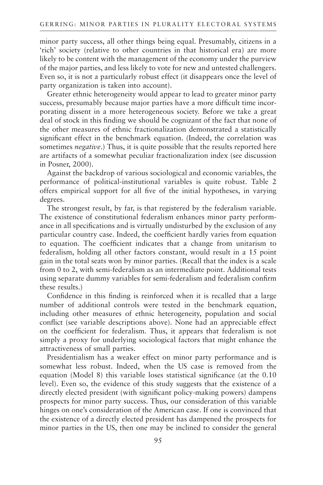minor party success, all other things being equal. Presumably, citizens in a 'rich' society (relative to other countries in that historical era) are more likely to be content with the management of the economy under the purview of the major parties, and less likely to vote for new and untested challengers. Even so, it is not a particularly robust effect (it disappears once the level of party organization is taken into account).

Greater ethnic heterogeneity would appear to lead to greater minor party success, presumably because major parties have a more difficult time incorporating dissent in a more heterogeneous society. Before we take a great deal of stock in this finding we should be cognizant of the fact that none of the other measures of ethnic fractionalization demonstrated a statistically significant effect in the benchmark equation. (Indeed, the correlation was sometimes *negative*.) Thus, it is quite possible that the results reported here are artifacts of a somewhat peculiar fractionalization index (see discussion in Posner, 2000).

Against the backdrop of various sociological and economic variables, the performance of political-institutional variables is quite robust. Table 2 offers empirical support for all five of the initial hypotheses, in varying degrees.

The strongest result, by far, is that registered by the federalism variable. The existence of constitutional federalism enhances minor party performance in all specifications and is virtually undisturbed by the exclusion of any particular country case. Indeed, the coefficient hardly varies from equation to equation. The coefficient indicates that a change from unitarism to federalism, holding all other factors constant, would result in a 15 point gain in the total seats won by minor parties. (Recall that the index is a scale from 0 to 2, with semi-federalism as an intermediate point. Additional tests using separate dummy variables for semi-federalism and federalism confirm these results.)

Confidence in this finding is reinforced when it is recalled that a large number of additional controls were tested in the benchmark equation, including other measures of ethnic heterogeneity, population and social conflict (see variable descriptions above). None had an appreciable effect on the coefficient for federalism. Thus, it appears that federalism is not simply a proxy for underlying sociological factors that might enhance the attractiveness of small parties.

Presidentialism has a weaker effect on minor party performance and is somewhat less robust. Indeed, when the US case is removed from the equation (Model 8) this variable loses statistical significance (at the 0.10 level). Even so, the evidence of this study suggests that the existence of a directly elected president (with significant policy-making powers) dampens prospects for minor party success. Thus, our consideration of this variable hinges on one's consideration of the American case. If one is convinced that the existence of a directly elected president has dampened the prospects for minor parties in the US, then one may be inclined to consider the general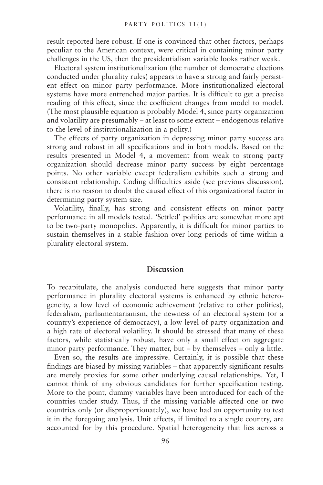result reported here robust. If one is convinced that other factors, perhaps peculiar to the American context, were critical in containing minor party challenges in the US, then the presidentialism variable looks rather weak.

Electoral system institutionalization (the number of democratic elections conducted under plurality rules) appears to have a strong and fairly persistent effect on minor party performance. More institutionalized electoral systems have more entrenched major parties. It is difficult to get a precise reading of this effect, since the coefficient changes from model to model. (The most plausible equation is probably Model 4, since party organization and volatility are presumably – at least to some extent – endogenous relative to the level of institutionalization in a polity.)

The effects of party organization in depressing minor party success are strong and robust in all specifications and in both models. Based on the results presented in Model 4, a movement from weak to strong party organization should decrease minor party success by eight percentage points. No other variable except federalism exhibits such a strong and consistent relationship. Coding difficulties aside (see previous discussion), there is no reason to doubt the causal effect of this organizational factor in determining party system size.

Volatility, finally, has strong and consistent effects on minor party performance in all models tested. 'Settled' polities are somewhat more apt to be two-party monopolies. Apparently, it is difficult for minor parties to sustain themselves in a stable fashion over long periods of time within a plurality electoral system.

### **Discussion**

To recapitulate, the analysis conducted here suggests that minor party performance in plurality electoral systems is enhanced by ethnic heterogeneity, a low level of economic achievement (relative to other polities), federalism, parliamentarianism, the newness of an electoral system (or a country's experience of democracy), a low level of party organization and a high rate of electoral volatility. It should be stressed that many of these factors, while statistically robust, have only a small effect on aggregate minor party performance. They matter, but – by themselves – only a little.

Even so, the results are impressive. Certainly, it is possible that these findings are biased by missing variables – that apparently significant results are merely proxies for some other underlying causal relationships. Yet, I cannot think of any obvious candidates for further specification testing. More to the point, dummy variables have been introduced for each of the countries under study. Thus, if the missing variable affected one or two countries only (or disproportionately), we have had an opportunity to test it in the foregoing analysis. Unit effects, if limited to a single country, are accounted for by this procedure. Spatial heterogeneity that lies across a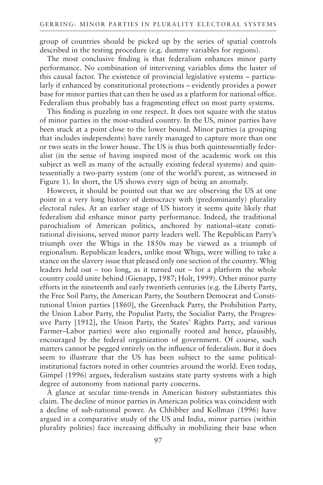group of countries should be picked up by the series of spatial controls described in the testing procedure (e.g. dummy variables for regions).

The most conclusive finding is that federalism enhances minor party performance. No combination of intervening variables dims the luster of this causal factor. The existence of provincial legislative systems – particularly if enhanced by constitutional protections – evidently provides a power base for minor parties that can then be used as a platform for national office. Federalism thus probably has a fragmenting effect on most party systems.

This finding is puzzling in one respect. It does not square with the status of minor parties in the most-studied country. In the US, minor parties have been stuck at a point close to the lower bound. Minor parties (a grouping that includes independents) have rarely managed to capture more than one or two seats in the lower house. The US is thus both quintessentially federalist (in the sense of having inspired most of the academic work on this subject as well as many of the actually existing federal systems) and quintessentially a two-party system (one of the world's purest, as witnessed in Figure 1). In short, the US shows every sign of being an anomaly.

However, it should be pointed out that we are observing the US at one point in a very long history of democracy with (predominantly) plurality electoral rules. At an earlier stage of US history it seems quite likely that federalism did enhance minor party performance. Indeed, the traditional parochialism of American politics, anchored by national–state constitutional divisions, served minor party leaders well. The Republican Party's triumph over the Whigs in the 1850s may be viewed as a triumph of regionalism. Republican leaders, unlike most Whigs, were willing to take a stance on the slavery issue that pleased only one section of the country. Whig leaders held out – too long, as it turned out – for a platform the whole country could unite behind (Gienapp, 1987; Holt, 1999). Other minor party efforts in the nineteenth and early twentieth centuries (e.g. the Liberty Party, the Free Soil Party, the American Party, the Southern Democrat and Constitutional Union parties [1860], the Greenback Party, the Prohibition Party, the Union Labor Party, the Populist Party, the Socialist Party, the Progressive Party [1912], the Union Party, the States' Rights Party, and various Farmer–Labor parties) were also regionally rooted and hence, plausibly, encouraged by the federal organization of government. Of course, such matters cannot be pegged entirely on the influence of federalism. But it does seem to illustrate that the US has been subject to the same politicalinstitutional factors noted in other countries around the world. Even today, Gimpel (1996) argues, federalism sustains state party systems with a high degree of autonomy from national party concerns.

A glance at secular time-trends in American history substantiates this claim. The decline of minor parties in American politics was coincident with a decline of sub-national power. As Chhibber and Kollman (1996) have argued in a comparative study of the US and India, minor parties (within plurality polities) face increasing difficulty in mobilizing their base when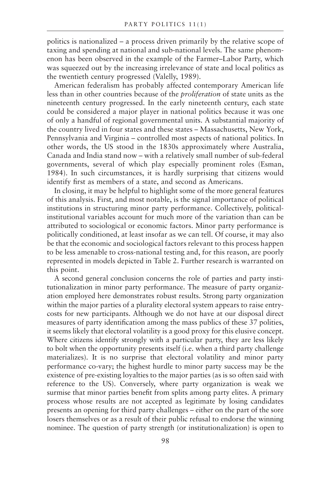politics is nationalized – a process driven primarily by the relative scope of taxing and spending at national and sub-national levels. The same phenomenon has been observed in the example of the Farmer–Labor Party, which was squeezed out by the increasing irrelevance of state and local politics as the twentieth century progressed (Valelly, 1989).

American federalism has probably affected contemporary American life less than in other countries because of the *proliferation* of state units as the nineteenth century progressed. In the early nineteenth century, each state could be considered a major player in national politics because it was one of only a handful of regional governmental units. A substantial majority of the country lived in four states and these states – Massachusetts, New York, Pennsylvania and Virginia – controlled most aspects of national politics. In other words, the US stood in the 1830s approximately where Australia, Canada and India stand now – with a relatively small number of sub-federal governments, several of which play especially prominent roles (Esman, 1984). In such circumstances, it is hardly surprising that citizens would identify first as members of a state, and second as Americans.

In closing, it may be helpful to highlight some of the more general features of this analysis. First, and most notable, is the signal importance of political institutions in structuring minor party performance. Collectively, politicalinstitutional variables account for much more of the variation than can be attributed to sociological or economic factors. Minor party performance is politically conditioned, at least insofar as we can tell. Of course, it may also be that the economic and sociological factors relevant to this process happen to be less amenable to cross-national testing and, for this reason, are poorly represented in models depicted in Table 2. Further research is warranted on this point.

A second general conclusion concerns the role of parties and party institutionalization in minor party performance. The measure of party organization employed here demonstrates robust results. Strong party organization within the major parties of a plurality electoral system appears to raise entrycosts for new participants. Although we do not have at our disposal direct measures of party identification among the mass publics of these 37 polities, it seems likely that electoral volatility is a good proxy for this elusive concept. Where citizens identify strongly with a particular party, they are less likely to bolt when the opportunity presents itself (i.e. when a third party challenge materializes). It is no surprise that electoral volatility and minor party performance co-vary; the highest hurdle to minor party success may be the existence of pre-existing loyalties to the major parties (as is so often said with reference to the US). Conversely, where party organization is weak we surmise that minor parties benefit from splits among party elites. A primary process whose results are not accepted as legitimate by losing candidates presents an opening for third party challenges – either on the part of the sore losers themselves or as a result of their public refusal to endorse the winning nominee. The question of party strength (or institutionalization) is open to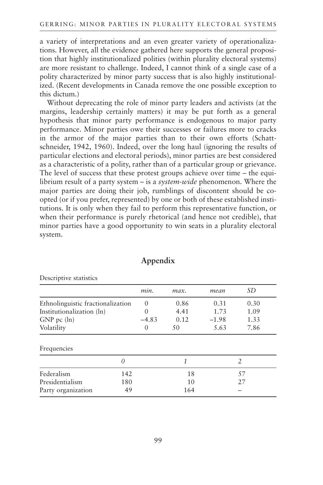a variety of interpretations and an even greater variety of operationalizations. However, all the evidence gathered here supports the general proposition that highly institutionalized polities (within plurality electoral systems) are more resistant to challenge. Indeed, I cannot think of a single case of a polity characterized by minor party success that is also highly institutionalized. (Recent developments in Canada remove the one possible exception to this dictum.)

Without deprecating the role of minor party leaders and activists (at the margins, leadership certainly matters) it may be put forth as a general hypothesis that minor party performance is endogenous to major party performance. Minor parties owe their successes or failures more to cracks in the armor of the major parties than to their own efforts (Schattschneider, 1942, 1960). Indeed, over the long haul (ignoring the results of particular elections and electoral periods), minor parties are best considered as a characteristic of a polity, rather than of a particular group or grievance. The level of success that these protest groups achieve over time – the equilibrium result of a party system – is a *system-wide* phenomenon. Where the major parties are doing their job, rumblings of discontent should be coopted (or if you prefer, represented) by one or both of these established institutions. It is only when they fail to perform this representative function, or when their performance is purely rhetorical (and hence not credible), that minor parties have a good opportunity to win seats in a plurality electoral system.

|                                   |     | min.             | max. | mean    | SD   |
|-----------------------------------|-----|------------------|------|---------|------|
| Ethnolinguistic fractionalization |     | $\Omega$         | 0.86 | 0.31    | 0.30 |
| Institutionalization (ln)         |     | $\left( \right)$ | 4.41 | 1.73    | 1.09 |
| $GNP$ pc $(ln)$                   |     | $-4.83$          | 0.12 | $-1.98$ | 1.33 |
| Volatility                        |     | $\Omega$         | 50   | 5.63    | 7.86 |
| Frequencies                       |     |                  |      |         |      |
|                                   | 0   |                  | 1    |         | 2    |
| Federalism                        | 142 |                  | 18   |         | 57   |
| Presidentialism                   | 180 |                  | 10   |         | 27   |
|                                   |     |                  |      |         |      |
| Party organization                | 49  |                  | 164  |         |      |

# **Appendix**

Descriptive statistics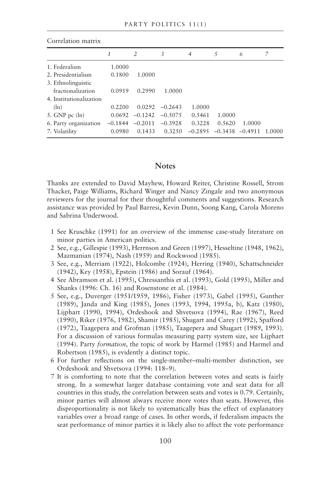| OOITCRIDH IIRRIX        |           |           |           |           |           |           |        |
|-------------------------|-----------|-----------|-----------|-----------|-----------|-----------|--------|
|                         |           | 2         | 3         | 4         | 5         | 6         | 7      |
| 1. Federalism           | 1.0000    |           |           |           |           |           |        |
| 2. Presidentialism      | 0.1800    | 1.0000    |           |           |           |           |        |
| 3. Ethnolinguistic      |           |           |           |           |           |           |        |
| fractionalization       | 0.0919    | 0.2990    | 1.0000    |           |           |           |        |
| 4. Institutionalization |           |           |           |           |           |           |        |
| $(\ln)$                 | 0.2200    | 0.0292    | $-0.2643$ | 1.0000    |           |           |        |
| 5. GNP pc $(ln)$        | 0.0692    | $-0.1242$ | $-0.5075$ | 0.5461    | 1.0000    |           |        |
| 6. Party organization   | $-0.1844$ | $-0.2011$ | $-0.3928$ | 0.3228    | 0.5620    | 1.0000    |        |
| 7. Volatility           | 0.0980    | 0.1433    | 0.32.50   | $-0.2895$ | $-0.3438$ | $-0.4911$ | 1.0000 |

#### Correlation matrix

#### **Notes**

Thanks are extended to David Mayhew, Howard Reiter, Christine Rossell, Strom Thacker, Paige Williams, Richard Winger and Nancy Zingale and two anonymous reviewers for the journal for their thoughtful comments and suggestions. Research assistance was provided by Paul Barresi, Kevin Dunn, Soong Kang, Carola Moreno and Sabrina Underwood.

- 1 See Kruschke (1991) for an overview of the immense case-study literature on minor parties in American politics.
- 2 See, e.g., Gillespie (1993), Herrnson and Green (1997), Hesseltine (1948, 1962), Mazmanian (1974), Nash (1959) and Rockwood (1985).
- 3 See, e.g., Merriam (1922), Holcombe (1924), Herring (1940), Schattschneider (1942), Key (1958), Epstein (1986) and Sorauf (1964).
- 4 See Abramson et al. (1995), Chressanthis et al. (1993), Gold (1995), Miller and Shanks (1996: Ch. 16) and Rosenstone et al. (1984).
- 5 See, e.g., Duverger (1951/1959, 1986), Fisher (1973), Gabel (1995), Gunther (1989), Janda and King (1985), Jones (1993, 1994, 1995a, b), Katz (1980), Lijphart (1990, 1994), Ordeshook and Shvetsova (1994), Rae (1967), Reed (1990), Riker (1976, 1982), Shamir (1985), Shugart and Carey (1992), Spafford (1972), Taagepera and Grofman (1985), Taagepera and Shugart (1989, 1993). For a discussion of various formulas measuring party system size, see Lijphart (1994). Party *formation*, the topic of work by Harmel (1985) and Harmel and Robertson (1985), is evidently a distinct topic.
- 6 For further reflections on the single-member–multi-member distinction, see Ordeshook and Shvetsova (1994: 118–9).
- 7 It is comforting to note that the correlation between votes and seats is fairly strong. In a somewhat larger database containing vote and seat data for all countries in this study, the correlation between seats and votes is 0.79. Certainly, minor parties will almost always receive more votes than seats. However, this disproportionality is not likely to systematically bias the effect of explanatory variables over a broad range of cases. In other words, if federalism impacts the seat performance of minor parties it is likely also to affect the vote performance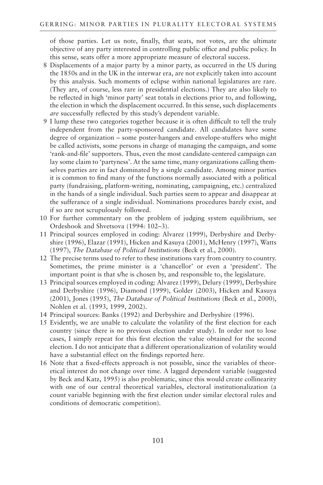of those parties. Let us note, finally, that seats, not votes, are the ultimate objective of any party interested in controlling public office and public policy. In this sense, seats offer a more appropriate measure of electoral success.

- 8 Displacements of a major party by a minor party, as occurred in the US during the 1850s and in the UK in the interwar era, are not explicitly taken into account by this analysis. Such moments of eclipse within national legislatures are rare. (They are, of course, less rare in presidential elections.) They are also likely to be reflected in high 'minor party' seat totals in elections prior to, and following, the election in which the displacement occurred. In this sense, such displacements *are* successfully reflected by this study's dependent variable.
- 9 I lump these two categories together because it is often difficult to tell the truly independent from the party-sponsored candidate. All candidates have some degree of organization – some poster-hangers and envelope-stuffers who might be called activists, some persons in charge of managing the campaign, and some 'rank-and-file' supporters. Thus, even the most candidate-centered campaign can lay some claim to 'partyness'. At the same time, many organizations calling themselves parties are in fact dominated by a single candidate. Among minor parties it is common to find many of the functions normally associated with a political party (fundraising, platform-writing, nominating, campaigning, etc.) centralized in the hands of a single individual. Such parties seem to appear and disappear at the sufferance of a single individual. Nominations procedures barely exist, and if so are not scrupulously followed.
- 10 For further commentary on the problem of judging system equilibrium, see Ordeshook and Shvetsova (1994: 102–3).
- 11 Principal sources employed in coding: Alvarez (1999), Derbyshire and Derbyshire (1996), Elazar (1991), Hicken and Kasuya (2001), McHenry (1997), Watts (1997), *The Database of Political Institutions* (Beck et al., 2000).
- 12 The precise terms used to refer to these institutions vary from country to country. Sometimes, the prime minister is a 'chancellor' or even a 'president'. The important point is that s/he is chosen by, and responsible to, the legislature.
- 13 Principal sources employed in coding: Alvarez (1999), Delury (1999), Derbyshire and Derbyshire (1996), Diamond (1999), Golder (2003), Hicken and Kasuya (2001), Jones (1995), *The Database of Political Institutions* (Beck et al., 2000), Nohlen et al. (1993, 1999, 2002).
- 14 Principal sources: Banks (1992) and Derbyshire and Derbyshire (1996).
- 15 Evidently, we are unable to calculate the volatility of the first election for each country (since there is no previous election under study). In order not to lose cases, I simply repeat for this first election the value obtained for the second election. I do not anticipate that a different operationalization of volatility would have a substantial effect on the findings reported here.
- 16 Note that a fixed-effects approach is not possible, since the variables of theoretical interest do not change over time. A lagged dependent variable (suggested by Beck and Katz, 1995) is also problematic, since this would create collinearity with one of our central theoretical variables, electoral institutionalization (a count variable beginning with the first election under similar electoral rules and conditions of democratic competition).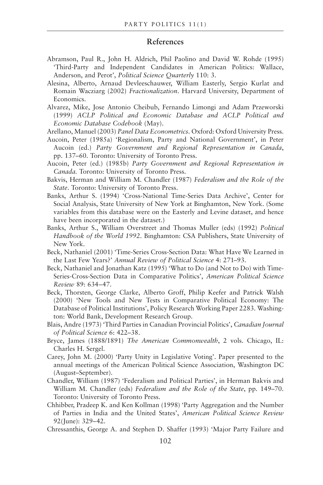#### **References**

- Abramson, Paul R., John H. Aldrich, Phil Paolino and David W. Rohde (1995) 'Third-Party and Independent Candidates in American Politics: Wallace, Anderson, and Perot', *Political Science Quarterly* 110: 3.
- Alesina, Alberto, Arnaud Devleeschauwer, William Easterly, Sergio Kurlat and Romain Wacziarg (2002) *Fractionalization*. Harvard University, Department of Economics.
- Alvarez, Mike, Jose Antonio Cheibub, Fernando Limongi and Adam Przeworski (1999) *ACLP Political and Economic Database and ACLP Political and Economic Database Codebook* (May).

Arellano, Manuel (2003) *Panel Data Econometrics*. Oxford: Oxford University Press.

- Aucoin, Peter (1985a) 'Regionalism, Party and National Government', in Peter Aucoin (ed.) *Party Government and Regional Representation in Canada*, pp. 137–60. Toronto: University of Toronto Press.
- Aucoin, Peter (ed.) (1985b) *Party Government and Regional Representation in Canada.* Toronto: University of Toronto Press.
- Bakvis, Herman and William M. Chandler (1987) *Federalism and the Role of the State*. Toronto: University of Toronto Press.
- Banks, Arthur S. (1994) 'Cross-National Time-Series Data Archive', Center for Social Analysis, State University of New York at Binghamton, New York. (Some variables from this database were on the Easterly and Levine dataset, and hence have been incorporated in the dataset.)
- Banks, Arthur S., William Overstreet and Thomas Muller (eds) (1992) *Political Handbook of the World 1992*. Binghamton: CSA Publishers, State University of New York.
- Beck, Nathaniel (2001) 'Time-Series Cross-Section Data: What Have We Learned in the Last Few Years?' *Annual Review of Political Science* 4: 271–93.
- Beck, Nathaniel and Jonathan Katz (1995) 'What to Do (and Not to Do) with Time-Series-Cross-Section Data in Comparative Politics', *American Political Science Review* 89: 634–47.
- Beck, Thorsten, George Clarke, Alberto Groff, Philip Keefer and Patrick Walsh (2000) 'New Tools and New Tests in Comparative Political Economy: The Database of Political Institutions', Policy Research Working Paper 2283. Washington: World Bank, Development Research Group.
- Blais, Andre (1973) 'Third Parties in Canadian Provincial Politics', *Canadian Journal of Political Science* 6: 422–38.
- Bryce, James (1888/1891) *The American Commonwealth*, 2 vols. Chicago, IL: Charles H. Sergel.
- Carey, John M. (2000) 'Party Unity in Legislative Voting'. Paper presented to the annual meetings of the American Political Science Association, Washington DC (August–September).
- Chandler, William (1987) 'Federalism and Political Parties', in Herman Bakvis and William M. Chandler (eds) *Federalism and the Role of the State*, pp. 149–70. Toronto: University of Toronto Press.
- Chhibber, Pradeep K. and Ken Kollman (1998) 'Party Aggregation and the Number of Parties in India and the United States', *American Political Science Review* 92(June): 329–42.
- Chressanthis, George A. and Stephen D. Shaffer (1993) 'Major Party Failure and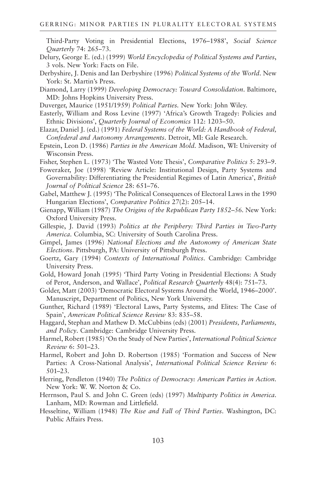Third-Party Voting in Presidential Elections, 1976–1988', *Social Science Quarterly* 74: 265–73.

- Delury, George E. (ed.) (1999) *World Encyclopedia of Political Systems and Parties*, 3 vols. New York: Facts on File.
- Derbyshire, J. Denis and Ian Derbyshire (1996) *Political Systems of the World*. New York: St. Martin's Press.
- Diamond, Larry (1999) *Developing Democracy: Toward Consolidation*. Baltimore, MD: Johns Hopkins University Press.
- Duverger, Maurice (1951/1959) *Political Parties.* New York: John Wiley.
- Easterly, William and Ross Levine (1997) 'Africa's Growth Tragedy: Policies and Ethnic Divisions', *Quarterly Journal of Economics* 112: 1203–50.
- Elazar, Daniel J. (ed.) (1991) *Federal Systems of the World: A Handbook of Federal, Confederal and Autonomy Arrangements*. Detroit, MI: Gale Research.
- Epstein, Leon D. (1986) *Parties in the American Mold.* Madison, WI: University of Wisconsin Press.
- Fisher, Stephen L. (1973) 'The Wasted Vote Thesis', *Comparative Politics* 5: 293–9.
- Foweraker, Joe (1998) 'Review Article: Institutional Design, Party Systems and Governability: Differentiating the Presidential Regimes of Latin America', *British Journal of Political Science* 28: 651–76.
- Gabel, Matthew J. (1995) 'The Political Consequences of Electoral Laws in the 1990 Hungarian Elections', *Comparative Politics* 27(2): 205–14.
- Gienapp, William (1987) *The Origins of the Republican Party 1852–56.* New York: Oxford University Press.
- Gillespie, J. David (1993) *Politics at the Periphery: Third Parties in Two-Party America*. Columbia, SC: University of South Carolina Press.
- Gimpel, James (1996) *National Elections and the Autonomy of American State Elections*. Pittsburgh, PA: University of Pittsburgh Press.
- Goertz, Gary (1994) *Contexts of International Politics*. Cambridge: Cambridge University Press.
- Gold, Howard Jonah (1995) 'Third Party Voting in Presidential Elections: A Study of Perot, Anderson, and Wallace', *Political Research Quarterly* 48(4): 751–73.
- Golder, Matt (2003) 'Democratic Electoral Systems Around the World, 1946–2000'. Manuscript, Department of Politics, New York University.
- Gunther, Richard (1989) 'Electoral Laws, Party Systems, and Elites: The Case of Spain', *American Political Science Review* 83: 835–58.
- Haggard, Stephan and Mathew D. McCubbins (eds) (2001) *Presidents, Parliaments, and Policy*. Cambridge: Cambridge University Press.
- Harmel, Robert (1985) 'On the Study of New Parties', *International Political Science Review* 6: 501–23.
- Harmel, Robert and John D. Robertson (1985) 'Formation and Success of New Parties: A Cross-National Analysis', *International Political Science Review* 6: 501–23.
- Herring, Pendleton (1940) *The Politics of Democracy: American Parties in Action.* New York: W. W. Norton & Co.
- Herrnson, Paul S. and John C. Green (eds) (1997) *Multiparty Politics in America*. Lanham, MD: Rowman and Littlefield.
- Hesseltine, William (1948) *The Rise and Fall of Third Parties*. Washington, DC: Public Affairs Press.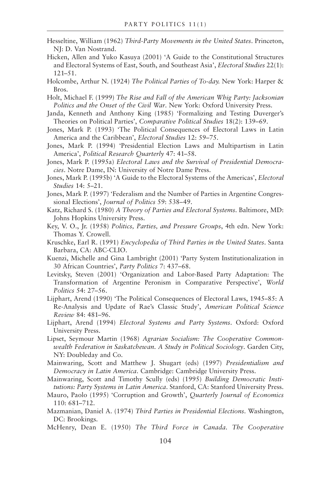- Hesseltine, William (1962) *Third-Party Movements in the United States*. Princeton, NJ: D. Van Nostrand.
- Hicken, Allen and Yuko Kasuya (2001) 'A Guide to the Constitutional Structures and Electoral Systems of East, South, and Southeast Asia', *Electoral Studies* 22(1): 121–51.
- Holcombe, Arthur N. (1924) *The Political Parties of To-day.* New York: Harper & Bros.
- Holt, Michael F. (1999) *The Rise and Fall of the American Whig Party: Jacksonian Politics and the Onset of the Civil War*. New York: Oxford University Press.
- Janda, Kenneth and Anthony King (1985) 'Formalizing and Testing Duverger's Theories on Political Parties', *Comparative Political Studies* 18(2): 139–69.
- Jones, Mark P. (1993) 'The Political Consequences of Electoral Laws in Latin America and the Caribbean', *Electoral Studies* 12: 59–75.
- Jones, Mark P. (1994) 'Presidential Election Laws and Multipartism in Latin America', *Political Research Quarterly* 47: 41–58.
- Jones, Mark P. (1995a) *Electoral Laws and the Survival of Presidential Democracies*. Notre Dame, IN: University of Notre Dame Press.
- Jones, Mark P. (1995b) 'A Guide to the Electoral Systems of the Americas', *Electoral Studies* 14: 5–21.
- Jones, Mark P. (1997) 'Federalism and the Number of Parties in Argentine Congressional Elections', *Journal of Politics* 59: 538–49.
- Katz, Richard S. (1980) *A Theory of Parties and Electoral Systems*. Baltimore, MD: Johns Hopkins University Press.
- Key, V. O., Jr. (1958) *Politics, Parties, and Pressure Groups*, 4th edn. New York: Thomas Y. Crowell.
- Kruschke, Earl R. (1991) *Encyclopedia of Third Parties in the United States*. Santa Barbara, CA: ABC-CLIO.
- Kuenzi, Michelle and Gina Lambright (2001) 'Party System Institutionalization in 30 African Countries', *Party Politics* 7: 437–68.
- Levitsky, Steven (2001) 'Organization and Labor-Based Party Adaptation: The Transformation of Argentine Peronism in Comparative Perspective', *World Politics* 54: 27–56.
- Lijphart, Arend (1990) 'The Political Consequences of Electoral Laws, 1945–85: A Re-Analysis and Update of Rae's Classic Study', *American Political Science Review* 84: 481–96.
- Lijphart, Arend (1994) *Electoral Systems and Party Systems*. Oxford: Oxford University Press.
- Lipset, Seymour Martin (1968) *Agrarian Socialism: The Cooperative Commonwealth Federation in Saskatchewan. A Study in Political Sociology*. Garden City, NY: Doubleday and Co.
- Mainwaring, Scott and Matthew J. Shugart (eds) (1997) *Presidentialism and Democracy in Latin America*. Cambridge: Cambridge University Press.
- Mainwaring, Scott and Timothy Scully (eds) (1995) *Building Democratic Institutions: Party Systems in Latin America*. Stanford, CA: Stanford University Press.
- Mauro, Paolo (1995) 'Corruption and Growth', *Quarterly Journal of Economics* 110: 681–712.
- Mazmanian, Daniel A. (1974) *Third Parties in Presidential Elections*. Washington, DC: Brookings.
- McHenry, Dean E. (1950) *The Third Force in Canada. The Cooperative*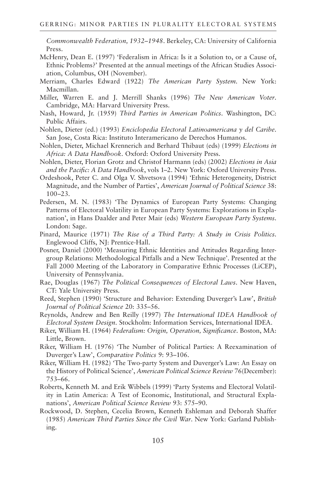*Commonwealth Federation, 1932–1948*. Berkeley, CA: University of California Press.

- McHenry, Dean E. (1997) 'Federalism in Africa: Is it a Solution to, or a Cause of, Ethnic Problems?' Presented at the annual meetings of the African Studies Association, Columbus, OH (November).
- Merriam, Charles Edward (1922) *The American Party System.* New York: Macmillan.
- Miller, Warren E. and J. Merrill Shanks (1996) *The New American Voter*. Cambridge, MA: Harvard University Press.
- Nash, Howard, Jr. (1959) *Third Parties in American Politics*. Washington, DC: Public Affairs.
- Nohlen, Dieter (ed.) (1993) *Enciclopedia Electoral Latinoamericana y del Caribe*. San Jose, Costa Rica: Instituto Interamericano de Derechos Humanos.
- Nohlen, Dieter, Michael Krennerich and Berhard Thibaut (eds) (1999) *Elections in Africa: A Data Handbook*. Oxford: Oxford University Press.
- Nohlen, Dieter, Florian Grotz and Christof Harmann (eds) (2002) *Elections in Asia and the Pacific: A Data Handbook*, vols 1–2. New York: Oxford University Press.
- Ordeshook, Peter C. and Olga V. Shvetsova (1994) 'Ethnic Heterogeneity, District Magnitude, and the Number of Parties', *American Journal of Political Science* 38: 100–23.
- Pedersen, M. N. (1983) 'The Dynamics of European Party Systems: Changing Patterns of Electoral Volatility in European Party Systems: Explorations in Explanation', in Hans Daalder and Peter Mair (eds) *Western European Party Systems*. London: Sage.
- Pinard, Maurice (1971) *The Rise of a Third Party: A Study in Crisis Politics*. Englewood Cliffs, NJ: Prentice-Hall.
- Posner, Daniel (2000) 'Measuring Ethnic Identities and Attitudes Regarding Intergroup Relations: Methodological Pitfalls and a New Technique'. Presented at the Fall 2000 Meeting of the Laboratory in Comparative Ethnic Processes (LiCEP), University of Pennsylvania.
- Rae, Douglas (1967) *The Political Consequences of Electoral Laws*. New Haven, CT: Yale University Press.
- Reed, Stephen (1990) 'Structure and Behavior: Extending Duverger's Law', *British Journal of Political Science* 20: 335–56.
- Reynolds, Andrew and Ben Reilly (1997) *The International IDEA Handbook of Electoral System Design*. Stockholm: Information Services, International IDEA.
- Riker, William H. (1964) *Federalism: Origin, Operation, Significance*. Boston, MA: Little, Brown.
- Riker, William H. (1976) 'The Number of Political Parties: A Reexamination of Duverger's Law', *Comparative Politics* 9: 93–106.
- Riker, William H. (1982) 'The Two-party System and Duverger's Law: An Essay on the History of Political Science', *American Political Science Review* 76(December): 753–66.
- Roberts, Kenneth M. and Erik Wibbels (1999) 'Party Systems and Electoral Volatility in Latin America: A Test of Economic, Institutional, and Structural Explanations', *American Political Science Review* 93: 575–90.
- Rockwood, D. Stephen, Cecelia Brown, Kenneth Eshleman and Deborah Shaffer (1985) *American Third Parties Since the Civil War*. New York: Garland Publishing.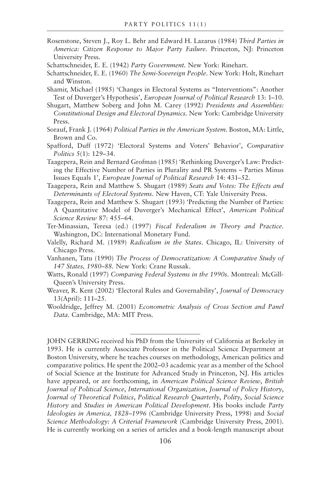- Rosenstone, Steven J., Roy L. Behr and Edward H. Lazarus (1984) *Third Parties in America: Citizen Response to Major Party Failure*. Princeton, NJ: Princeton University Press.
- Schattschneider, E. E. (1942) *Party Government.* New York: Rinehart.
- Schattschneider, E. E. (1960) *The Semi-Sovereign People*. New York: Holt, Rinehart and Winston.
- Shamir, Michael (1985) 'Changes in Electoral Systems as "Interventions": Another Test of Duverger's Hypothesis', *European Journal of Political Research* 13: 1–10.
- Shugart, Matthew Soberg and John M. Carey (1992) *Presidents and Assemblies: Constitutional Design and Electoral Dynamics.* New York: Cambridge University Press.
- Sorauf, Frank J. (1964) *Political Parties in the American System*. Boston, MA: Little, Brown and Co.
- Spafford, Duff (1972) 'Electoral Systems and Voters' Behavior', *Comparative Politics* 5(1): 129–34.
- Taagepera, Rein and Bernard Grofman (1985) 'Rethinking Duverger's Law: Predicting the Effective Number of Parties in Plurality and PR Systems – Parties Minus Issues Equals 1', *European Journal of Political Research* 14: 431–52.
- Taagepera, Rein and Matthew S. Shugart (1989) *Seats and Votes: The Effects and Determinants of Electoral Systems*. New Haven, CT: Yale University Press.
- Taagepera, Rein and Matthew S. Shugart (1993) 'Predicting the Number of Parties: A Quantitative Model of Duverger's Mechanical Effect', *American Political Science Review* 87: 455–64.
- Ter-Minassian, Teresa (ed.) (1997) *Fiscal Federalism in Theory and Practice*. Washington, DC: International Monetary Fund.
- Valelly, Richard M. (1989) *Radicalism in the States*. Chicago, IL: University of Chicago Press.
- Vanhanen, Tatu (1990) *The Process of Democratization: A Comparative Study of 147 States, 1980–88.* New York: Crane Russak.
- Watts, Ronald (1997) *Comparing Federal Systems in the 1990s*. Montreal: McGill-Queen's University Press.
- Weaver, R. Kent (2002) 'Electoral Rules and Governability', *Journal of Democracy* 13(April): 111–25.
- Wooldridge, Jeffrey M. (2001) *Econometric Analysis of Cross Section and Panel Data*. Cambridge, MA: MIT Press.

JOHN GERRING received his PhD from the University of California at Berkeley in 1993. He is currently Associate Professor in the Political Science Department at Boston University, where he teaches courses on methodology, American politics and comparative politics. He spent the 2002–03 academic year as a member of the School of Social Science at the Institute for Advanced Study in Princeton, NJ. His articles have appeared, or are forthcoming, in *American Political Science Review*, *British Journal of Political Science*, *International Organization*, *Journal of Policy History*, *Journal of Theoretical Politics*, *Political Research Quarterly*, *Polity*, *Social Science History* and *Studies in American Political Development*. His books include *Party Ideologies in America, 1828–1996* (Cambridge University Press, 1998) and *Social Science Methodology: A Criterial Framework* (Cambridge University Press, 2001). He is currently working on a series of articles and a book-length manuscript about